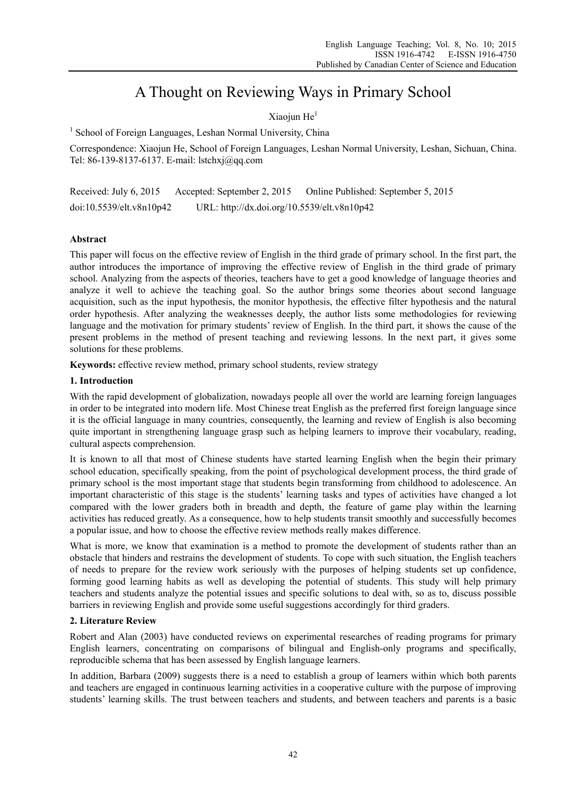# A Thought on Reviewing Ways in Primary School

# Xiaoiun  $He<sup>1</sup>$

<sup>1</sup> School of Foreign Languages, Leshan Normal University, China

Correspondence: Xiaojun He, School of Foreign Languages, Leshan Normal University, Leshan, Sichuan, China. Tel: 86-139-8137-6137. E-mail: lstchxj@qq.com

Received: July 6, 2015 Accepted: September 2, 2015 Online Published: September 5, 2015 doi:10.5539/elt.v8n10p42 URL: http://dx.doi.org/10.5539/elt.v8n10p42

## **Abstract**

This paper will focus on the effective review of English in the third grade of primary school. In the first part, the author introduces the importance of improving the effective review of English in the third grade of primary school. Analyzing from the aspects of theories, teachers have to get a good knowledge of language theories and analyze it well to achieve the teaching goal. So the author brings some theories about second language acquisition, such as the input hypothesis, the monitor hypothesis, the effective filter hypothesis and the natural order hypothesis. After analyzing the weaknesses deeply, the author lists some methodologies for reviewing language and the motivation for primary students' review of English. In the third part, it shows the cause of the present problems in the method of present teaching and reviewing lessons. In the next part, it gives some solutions for these problems.

**Keywords:** effective review method, primary school students, review strategy

#### **1. Introduction**

With the rapid development of globalization, nowadays people all over the world are learning foreign languages in order to be integrated into modern life. Most Chinese treat English as the preferred first foreign language since it is the official language in many countries, consequently, the learning and review of English is also becoming quite important in strengthening language grasp such as helping learners to improve their vocabulary, reading, cultural aspects comprehension.

It is known to all that most of Chinese students have started learning English when the begin their primary school education, specifically speaking, from the point of psychological development process, the third grade of primary school is the most important stage that students begin transforming from childhood to adolescence. An important characteristic of this stage is the students' learning tasks and types of activities have changed a lot compared with the lower graders both in breadth and depth, the feature of game play within the learning activities has reduced greatly. As a consequence, how to help students transit smoothly and successfully becomes a popular issue, and how to choose the effective review methods really makes difference.

What is more, we know that examination is a method to promote the development of students rather than an obstacle that hinders and restrains the development of students. To cope with such situation, the English teachers of needs to prepare for the review work seriously with the purposes of helping students set up confidence, forming good learning habits as well as developing the potential of students. This study will help primary teachers and students analyze the potential issues and specific solutions to deal with, so as to, discuss possible barriers in reviewing English and provide some useful suggestions accordingly for third graders.

# **2. Literature Review**

Robert and Alan (2003) have conducted reviews on experimental researches of reading programs for primary English learners, concentrating on comparisons of bilingual and English-only programs and specifically, reproducible schema that has been assessed by English language learners.

In addition, Barbara (2009) suggests there is a need to establish a group of learners within which both parents and teachers are engaged in continuous learning activities in a cooperative culture with the purpose of improving students' learning skills. The trust between teachers and students, and between teachers and parents is a basic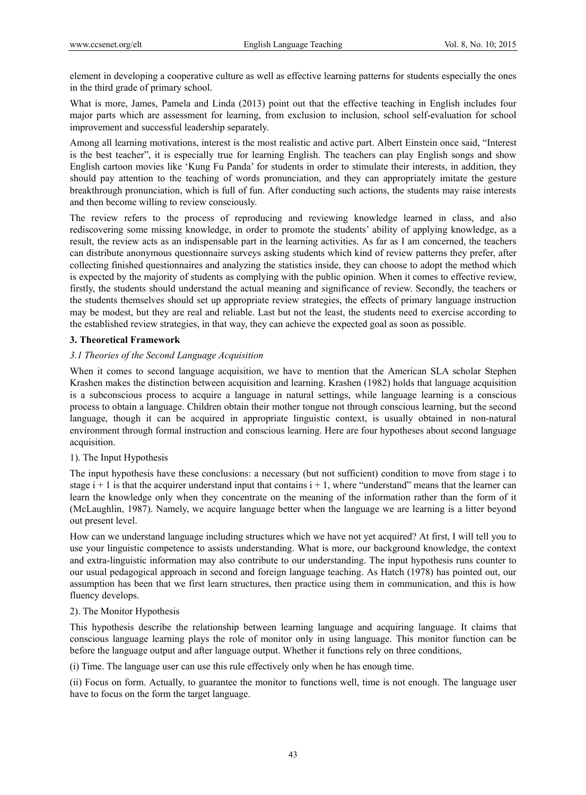element in developing a cooperative culture as well as effective learning patterns for students especially the ones in the third grade of primary school.

What is more, James, Pamela and Linda (2013) point out that the effective teaching in English includes four major parts which are assessment for learning, from exclusion to inclusion, school self-evaluation for school improvement and successful leadership separately.

Among all learning motivations, interest is the most realistic and active part. Albert Einstein once said, "Interest is the best teacher", it is especially true for learning English. The teachers can play English songs and show English cartoon movies like 'Kung Fu Panda' for students in order to stimulate their interests, in addition, they should pay attention to the teaching of words pronunciation, and they can appropriately imitate the gesture breakthrough pronunciation, which is full of fun. After conducting such actions, the students may raise interests and then become willing to review consciously.

The review refers to the process of reproducing and reviewing knowledge learned in class, and also rediscovering some missing knowledge, in order to promote the students' ability of applying knowledge, as a result, the review acts as an indispensable part in the learning activities. As far as I am concerned, the teachers can distribute anonymous questionnaire surveys asking students which kind of review patterns they prefer, after collecting finished questionnaires and analyzing the statistics inside, they can choose to adopt the method which is expected by the majority of students as complying with the public opinion. When it comes to effective review, firstly, the students should understand the actual meaning and significance of review. Secondly, the teachers or the students themselves should set up appropriate review strategies, the effects of primary language instruction may be modest, but they are real and reliable. Last but not the least, the students need to exercise according to the established review strategies, in that way, they can achieve the expected goal as soon as possible.

#### **3. Theoretical Framework**

## *3.1 Theories of the Second Language Acquisition*

When it comes to second language acquisition, we have to mention that the American SLA scholar Stephen Krashen makes the distinction between acquisition and learning. Krashen (1982) holds that language acquisition is a subconscious process to acquire a language in natural settings, while language learning is a conscious process to obtain a language. Children obtain their mother tongue not through conscious learning, but the second language, though it can be acquired in appropriate linguistic context, is usually obtained in non-natural environment through formal instruction and conscious learning. Here are four hypotheses about second language acquisition.

#### 1). The Input Hypothesis

The input hypothesis have these conclusions: a necessary (but not sufficient) condition to move from stage i to stage  $i + 1$  is that the acquirer understand input that contains  $i + 1$ , where "understand" means that the learner can learn the knowledge only when they concentrate on the meaning of the information rather than the form of it (McLaughlin, 1987). Namely, we acquire language better when the language we are learning is a litter beyond out present level.

How can we understand language including structures which we have not yet acquired? At first, I will tell you to use your linguistic competence to assists understanding. What is more, our background knowledge, the context and extra-linguistic information may also contribute to our understanding. The input hypothesis runs counter to our usual pedagogical approach in second and foreign language teaching. As Hatch (1978) has pointed out, our assumption has been that we first learn structures, then practice using them in communication, and this is how fluency develops.

#### 2). The Monitor Hypothesis

This hypothesis describe the relationship between learning language and acquiring language. It claims that conscious language learning plays the role of monitor only in using language. This monitor function can be before the language output and after language output. Whether it functions rely on three conditions,

(i) Time. The language user can use this rule effectively only when he has enough time.

(ii) Focus on form. Actually, to guarantee the monitor to functions well, time is not enough. The language user have to focus on the form the target language.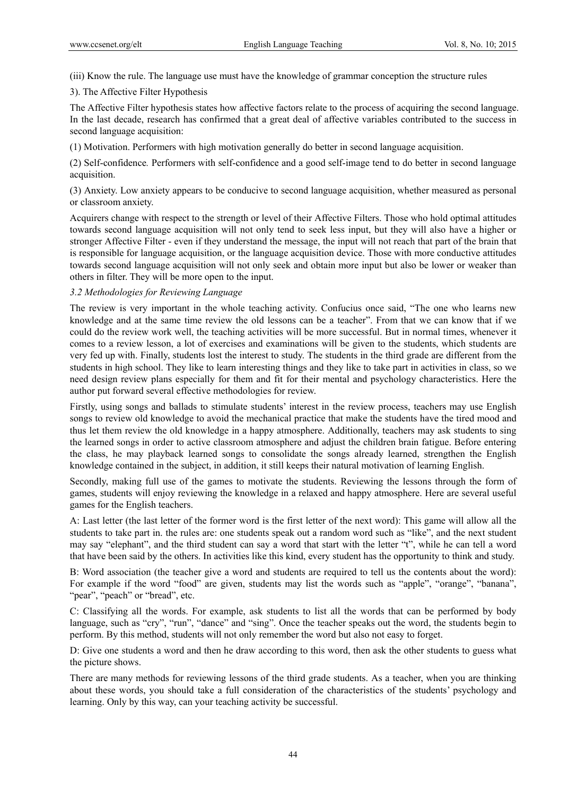(iii) Know the rule. The language use must have the knowledge of grammar conception the structure rules

### 3). The Affective Filter Hypothesis

The Affective Filter hypothesis states how affective factors relate to the process of acquiring the second language. In the last decade, research has confirmed that a great deal of affective variables contributed to the success in second language acquisition:

(1) Motivation. Performers with high motivation generally do better in second language acquisition.

(2) Self-confidence*.* Performers with self-confidence and a good self-image tend to do better in second language acquisition.

(3) Anxiety. Low anxiety appears to be conducive to second language acquisition, whether measured as personal or classroom anxiety.

Acquirers change with respect to the strength or level of their Affective Filters. Those who hold optimal attitudes towards second language acquisition will not only tend to seek less input, but they will also have a higher or stronger Affective Filter - even if they understand the message, the input will not reach that part of the brain that is responsible for language acquisition, or the language acquisition device. Those with more conductive attitudes towards second language acquisition will not only seek and obtain more input but also be lower or weaker than others in filter. They will be more open to the input.

## *3.2 Methodologies for Reviewing Language*

The review is very important in the whole teaching activity. Confucius once said, "The one who learns new knowledge and at the same time review the old lessons can be a teacher". From that we can know that if we could do the review work well, the teaching activities will be more successful. But in normal times, whenever it comes to a review lesson, a lot of exercises and examinations will be given to the students, which students are very fed up with. Finally, students lost the interest to study. The students in the third grade are different from the students in high school. They like to learn interesting things and they like to take part in activities in class, so we need design review plans especially for them and fit for their mental and psychology characteristics. Here the author put forward several effective methodologies for review.

Firstly, using songs and ballads to stimulate students' interest in the review process, teachers may use English songs to review old knowledge to avoid the mechanical practice that make the students have the tired mood and thus let them review the old knowledge in a happy atmosphere. Additionally, teachers may ask students to sing the learned songs in order to active classroom atmosphere and adjust the children brain fatigue. Before entering the class, he may playback learned songs to consolidate the songs already learned, strengthen the English knowledge contained in the subject, in addition, it still keeps their natural motivation of learning English.

Secondly, making full use of the games to motivate the students. Reviewing the lessons through the form of games, students will enjoy reviewing the knowledge in a relaxed and happy atmosphere. Here are several useful games for the English teachers.

A: Last letter (the last letter of the former word is the first letter of the next word): This game will allow all the students to take part in. the rules are: one students speak out a random word such as "like", and the next student may say "elephant", and the third student can say a word that start with the letter "t", while he can tell a word that have been said by the others. In activities like this kind, every student has the opportunity to think and study.

B: Word association (the teacher give a word and students are required to tell us the contents about the word): For example if the word "food" are given, students may list the words such as "apple", "orange", "banana", "pear", "peach" or "bread", etc.

C: Classifying all the words. For example, ask students to list all the words that can be performed by body language, such as "cry", "run", "dance" and "sing". Once the teacher speaks out the word, the students begin to perform. By this method, students will not only remember the word but also not easy to forget.

D: Give one students a word and then he draw according to this word, then ask the other students to guess what the picture shows.

There are many methods for reviewing lessons of the third grade students. As a teacher, when you are thinking about these words, you should take a full consideration of the characteristics of the students' psychology and learning. Only by this way, can your teaching activity be successful.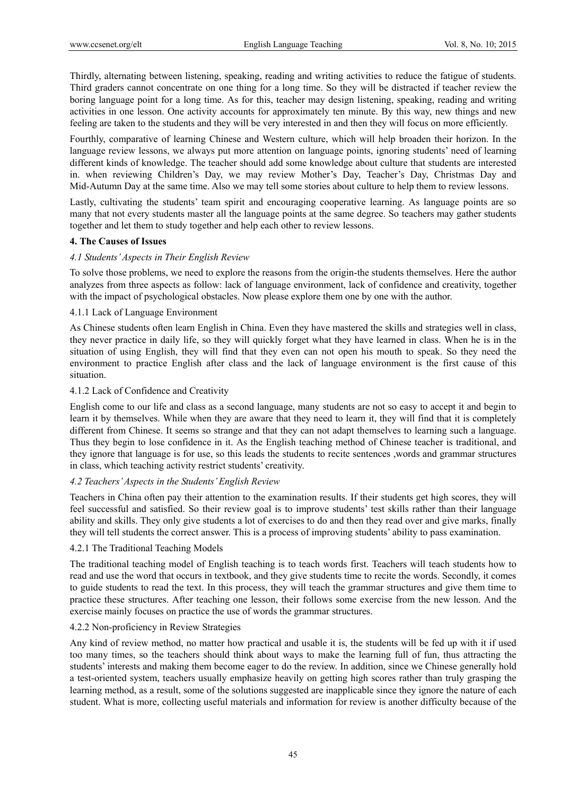Thirdly, alternating between listening, speaking, reading and writing activities to reduce the fatigue of students. Third graders cannot concentrate on one thing for a long time. So they will be distracted if teacher review the boring language point for a long time. As for this, teacher may design listening, speaking, reading and writing activities in one lesson. One activity accounts for approximately ten minute. By this way, new things and new feeling are taken to the students and they will be very interested in and then they will focus on more efficiently.

Fourthly, comparative of learning Chinese and Western culture, which will help broaden their horizon. In the language review lessons, we always put more attention on language points, ignoring students' need of learning different kinds of knowledge. The teacher should add some knowledge about culture that students are interested in. when reviewing Children's Day, we may review Mother's Day, Teacher's Day, Christmas Day and Mid-Autumn Day at the same time. Also we may tell some stories about culture to help them to review lessons.

Lastly, cultivating the students' team spirit and encouraging cooperative learning. As language points are so many that not every students master all the language points at the same degree. So teachers may gather students together and let them to study together and help each other to review lessons.

## **4. The Causes of Issues**

#### *4.1 Students' Aspects in Their English Review*

To solve those problems, we need to explore the reasons from the origin-the students themselves. Here the author analyzes from three aspects as follow: lack of language environment, lack of confidence and creativity, together with the impact of psychological obstacles. Now please explore them one by one with the author.

#### 4.1.1 Lack of Language Environment

As Chinese students often learn English in China. Even they have mastered the skills and strategies well in class, they never practice in daily life, so they will quickly forget what they have learned in class. When he is in the situation of using English, they will find that they even can not open his mouth to speak. So they need the environment to practice English after class and the lack of language environment is the first cause of this situation.

## 4.1.2 Lack of Confidence and Creativity

English come to our life and class as a second language, many students are not so easy to accept it and begin to learn it by themselves. While when they are aware that they need to learn it, they will find that it is completely different from Chinese. It seems so strange and that they can not adapt themselves to learning such a language. Thus they begin to lose confidence in it. As the English teaching method of Chinese teacher is traditional, and they ignore that language is for use, so this leads the students to recite sentences ,words and grammar structures in class, which teaching activity restrict students' creativity.

#### *4.2 Teachers' Aspects in the Students' English Review*

Teachers in China often pay their attention to the examination results. If their students get high scores, they will feel successful and satisfied. So their review goal is to improve students' test skills rather than their language ability and skills. They only give students a lot of exercises to do and then they read over and give marks, finally they will tell students the correct answer. This is a process of improving students' ability to pass examination.

#### 4.2.1 The Traditional Teaching Models

The traditional teaching model of English teaching is to teach words first. Teachers will teach students how to read and use the word that occurs in textbook, and they give students time to recite the words. Secondly, it comes to guide students to read the text. In this process, they will teach the grammar structures and give them time to practice these structures. After teaching one lesson, their follows some exercise from the new lesson. And the exercise mainly focuses on practice the use of words the grammar structures.

#### 4.2.2 Non-proficiency in Review Strategies

Any kind of review method, no matter how practical and usable it is, the students will be fed up with it if used too many times, so the teachers should think about ways to make the learning full of fun, thus attracting the students' interests and making them become eager to do the review. In addition, since we Chinese generally hold a test-oriented system, teachers usually emphasize heavily on getting high scores rather than truly grasping the learning method, as a result, some of the solutions suggested are inapplicable since they ignore the nature of each student. What is more, collecting useful materials and information for review is another difficulty because of the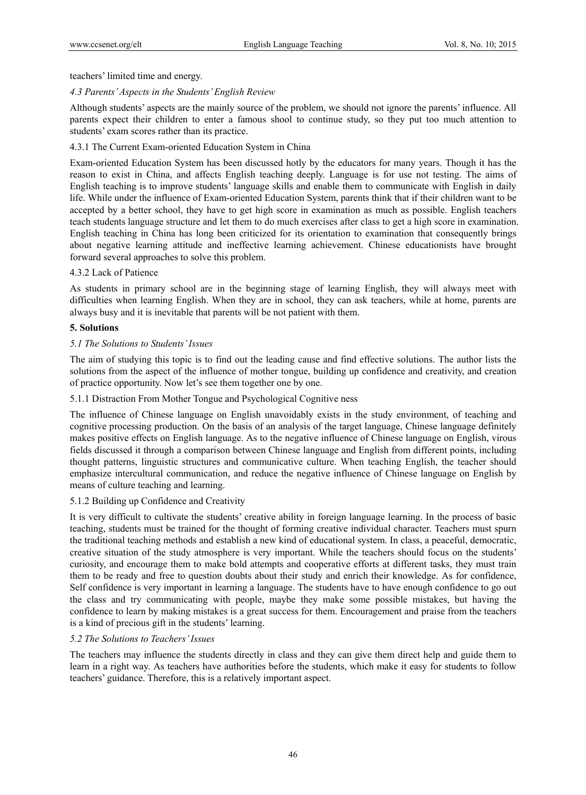teachers' limited time and energy.

#### *4.3 Parents' Aspects in the Students' English Review*

Although students' aspects are the mainly source of the problem, we should not ignore the parents' influence. All parents expect their children to enter a famous shool to continue study, so they put too much attention to students' exam scores rather than its practice.

## 4.3.1 The Current Exam-oriented Education System in China

Exam-oriented Education System has been discussed hotly by the educators for many years. Though it has the reason to exist in China, and affects English teaching deeply. Language is for use not testing. The aims of English teaching is to improve students' language skills and enable them to communicate with English in daily life. While under the influence of Exam-oriented Education System, parents think that if their children want to be accepted by a better school, they have to get high score in examination as much as possible. English teachers teach students language structure and let them to do much exercises after class to get a high score in examination. English teaching in China has long been criticized for its orientation to examination that consequently brings about negative learning attitude and ineffective learning achievement. Chinese educationists have brought forward several approaches to solve this problem.

#### 4.3.2 Lack of Patience

As students in primary school are in the beginning stage of learning English, they will always meet with difficulties when learning English. When they are in school, they can ask teachers, while at home, parents are always busy and it is inevitable that parents will be not patient with them.

#### **5. Solutions**

#### *5.1 The Solutions to Students' Issues*

The aim of studying this topic is to find out the leading cause and find effective solutions. The author lists the solutions from the aspect of the influence of mother tongue, building up confidence and creativity, and creation of practice opportunity. Now let's see them together one by one.

#### 5.1.1 Distraction From Mother Tongue and Psychological Cognitive ness

The influence of Chinese language on English unavoidably exists in the study environment, of teaching and cognitive processing production. On the basis of an analysis of the target language, Chinese language definitely makes positive effects on English language. As to the negative influence of Chinese language on English, virous fields discussed it through a comparison between Chinese language and English from different points, including thought patterns, linguistic structures and communicative culture. When teaching English, the teacher should emphasize intercultural communication, and reduce the negative influence of Chinese language on English by means of culture teaching and learning.

#### 5.1.2 Building up Confidence and Creativity

It is very difficult to cultivate the students' creative ability in foreign language learning. In the process of basic teaching, students must be trained for the thought of forming creative individual character. Teachers must spurn the traditional teaching methods and establish a new kind of educational system. In class, a peaceful, democratic, creative situation of the study atmosphere is very important. While the teachers should focus on the students' curiosity, and encourage them to make bold attempts and cooperative efforts at different tasks, they must train them to be ready and free to question doubts about their study and enrich their knowledge. As for confidence, Self confidence is very important in learning a language. The students have to have enough confidence to go out the class and try communicating with people, maybe they make some possible mistakes, but having the confidence to learn by making mistakes is a great success for them. Encouragement and praise from the teachers is a kind of precious gift in the students' learning.

#### *5.2 The Solutions to Teachers' Issues*

The teachers may influence the students directly in class and they can give them direct help and guide them to learn in a right way. As teachers have authorities before the students, which make it easy for students to follow teachers' guidance. Therefore, this is a relatively important aspect.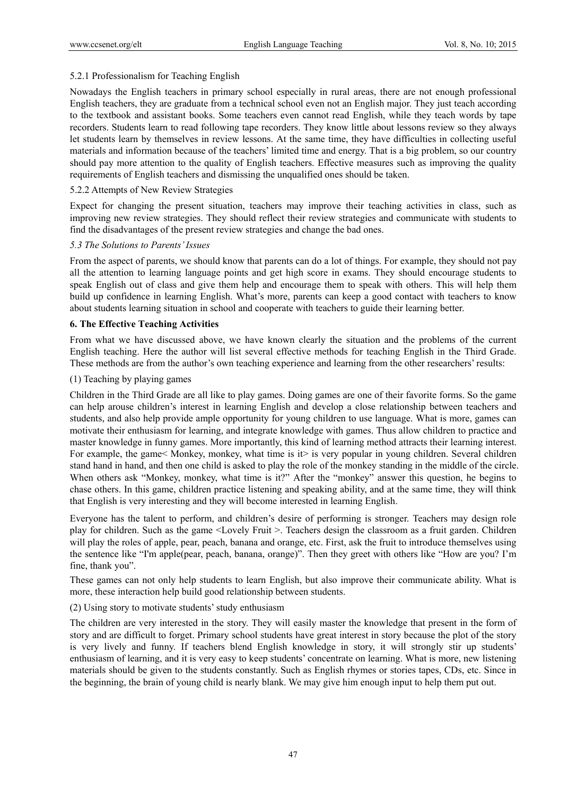# 5.2.1 Professionalism for Teaching English

Nowadays the English teachers in primary school especially in rural areas, there are not enough professional English teachers, they are graduate from a technical school even not an English major. They just teach according to the textbook and assistant books. Some teachers even cannot read English, while they teach words by tape recorders. Students learn to read following tape recorders. They know little about lessons review so they always let students learn by themselves in review lessons. At the same time, they have difficulties in collecting useful materials and information because of the teachers' limited time and energy. That is a big problem, so our country should pay more attention to the quality of English teachers. Effective measures such as improving the quality requirements of English teachers and dismissing the unqualified ones should be taken.

## 5.2.2 Attempts of New Review Strategies

Expect for changing the present situation, teachers may improve their teaching activities in class, such as improving new review strategies. They should reflect their review strategies and communicate with students to find the disadvantages of the present review strategies and change the bad ones.

## *5.3 The Solutions to Parents' Issues*

From the aspect of parents, we should know that parents can do a lot of things. For example, they should not pay all the attention to learning language points and get high score in exams. They should encourage students to speak English out of class and give them help and encourage them to speak with others. This will help them build up confidence in learning English. What's more, parents can keep a good contact with teachers to know about students learning situation in school and cooperate with teachers to guide their learning better.

## **6. The Effective Teaching Activities**

From what we have discussed above, we have known clearly the situation and the problems of the current English teaching. Here the author will list several effective methods for teaching English in the Third Grade. These methods are from the author's own teaching experience and learning from the other researchers' results:

## (1) Teaching by playing games

Children in the Third Grade are all like to play games. Doing games are one of their favorite forms. So the game can help arouse children's interest in learning English and develop a close relationship between teachers and students, and also help provide ample opportunity for young children to use language. What is more, games can motivate their enthusiasm for learning, and integrate knowledge with games. Thus allow children to practice and master knowledge in funny games. More importantly, this kind of learning method attracts their learning interest. For example, the game< Monkey, monkey, what time is it> is very popular in young children. Several children stand hand in hand, and then one child is asked to play the role of the monkey standing in the middle of the circle. When others ask "Monkey, monkey, what time is it?" After the "monkey" answer this question, he begins to chase others. In this game, children practice listening and speaking ability, and at the same time, they will think that English is very interesting and they will become interested in learning English.

Everyone has the talent to perform, and children's desire of performing is stronger. Teachers may design role play for children. Such as the game <Lovely Fruit >. Teachers design the classroom as a fruit garden. Children will play the roles of apple, pear, peach, banana and orange, etc. First, ask the fruit to introduce themselves using the sentence like "I'm apple(pear, peach, banana, orange)". Then they greet with others like "How are you? I'm fine, thank you".

These games can not only help students to learn English, but also improve their communicate ability. What is more, these interaction help build good relationship between students.

# (2) Using story to motivate students' study enthusiasm

The children are very interested in the story. They will easily master the knowledge that present in the form of story and are difficult to forget. Primary school students have great interest in story because the plot of the story is very lively and funny. If teachers blend English knowledge in story, it will strongly stir up students' enthusiasm of learning, and it is very easy to keep students' concentrate on learning. What is more, new listening materials should be given to the students constantly. Such as English rhymes or stories tapes, CDs, etc. Since in the beginning, the brain of young child is nearly blank. We may give him enough input to help them put out.